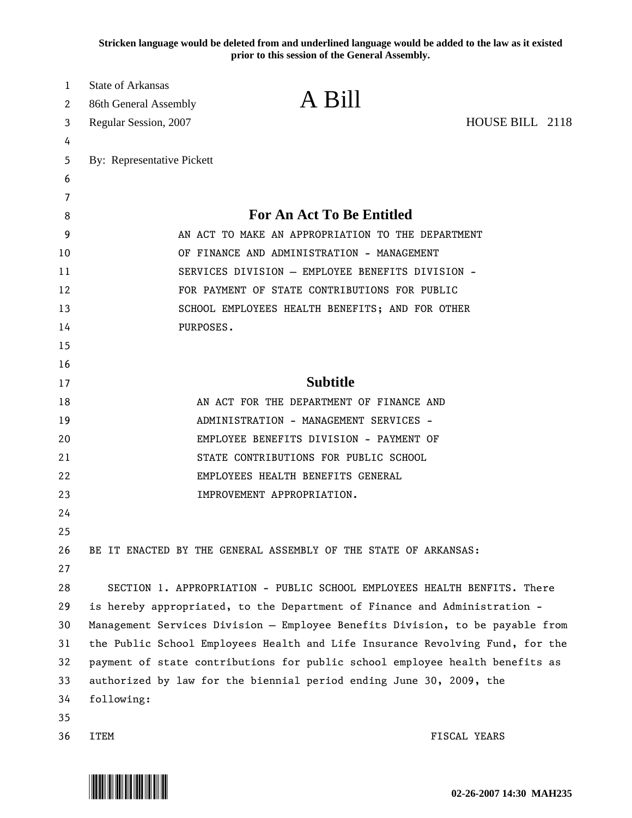**Stricken language would be deleted from and underlined language would be added to the law as it existed prior to this session of the General Assembly.**

| 1  | <b>State of Arkansas</b>                          |                                                                               |  |  |  |  |  |  |
|----|---------------------------------------------------|-------------------------------------------------------------------------------|--|--|--|--|--|--|
| 2  | 86th General Assembly                             | A Bill                                                                        |  |  |  |  |  |  |
| 3  | Regular Session, 2007                             | HOUSE BILL 2118                                                               |  |  |  |  |  |  |
| 4  |                                                   |                                                                               |  |  |  |  |  |  |
| 5  | By: Representative Pickett                        |                                                                               |  |  |  |  |  |  |
| 6  |                                                   |                                                                               |  |  |  |  |  |  |
| 7  |                                                   |                                                                               |  |  |  |  |  |  |
| 8  |                                                   | <b>For An Act To Be Entitled</b>                                              |  |  |  |  |  |  |
| 9  | AN ACT TO MAKE AN APPROPRIATION TO THE DEPARTMENT |                                                                               |  |  |  |  |  |  |
| 10 | OF FINANCE AND ADMINISTRATION - MANAGEMENT        |                                                                               |  |  |  |  |  |  |
| 11 |                                                   | SERVICES DIVISION - EMPLOYEE BENEFITS DIVISION -                              |  |  |  |  |  |  |
| 12 |                                                   | FOR PAYMENT OF STATE CONTRIBUTIONS FOR PUBLIC                                 |  |  |  |  |  |  |
| 13 |                                                   | SCHOOL EMPLOYEES HEALTH BENEFITS; AND FOR OTHER                               |  |  |  |  |  |  |
| 14 |                                                   | PURPOSES.                                                                     |  |  |  |  |  |  |
| 15 |                                                   |                                                                               |  |  |  |  |  |  |
| 16 |                                                   |                                                                               |  |  |  |  |  |  |
| 17 |                                                   | <b>Subtitle</b>                                                               |  |  |  |  |  |  |
| 18 |                                                   | AN ACT FOR THE DEPARTMENT OF FINANCE AND                                      |  |  |  |  |  |  |
| 19 |                                                   | ADMINISTRATION - MANAGEMENT SERVICES -                                        |  |  |  |  |  |  |
| 20 |                                                   | EMPLOYEE BENEFITS DIVISION - PAYMENT OF                                       |  |  |  |  |  |  |
| 21 |                                                   | STATE CONTRIBUTIONS FOR PUBLIC SCHOOL                                         |  |  |  |  |  |  |
| 22 |                                                   | EMPLOYEES HEALTH BENEFITS GENERAL                                             |  |  |  |  |  |  |
| 23 |                                                   | IMPROVEMENT APPROPRIATION.                                                    |  |  |  |  |  |  |
| 24 |                                                   |                                                                               |  |  |  |  |  |  |
| 25 |                                                   |                                                                               |  |  |  |  |  |  |
| 26 |                                                   | BE IT ENACTED BY THE GENERAL ASSEMBLY OF THE STATE OF ARKANSAS:               |  |  |  |  |  |  |
| 27 |                                                   |                                                                               |  |  |  |  |  |  |
| 28 |                                                   | SECTION 1. APPROPRIATION - PUBLIC SCHOOL EMPLOYEES HEALTH BENFITS. There      |  |  |  |  |  |  |
| 29 |                                                   | is hereby appropriated, to the Department of Finance and Administration -     |  |  |  |  |  |  |
| 30 |                                                   | Management Services Division - Employee Benefits Division, to be payable from |  |  |  |  |  |  |
| 31 |                                                   | the Public School Employees Health and Life Insurance Revolving Fund, for the |  |  |  |  |  |  |
| 32 |                                                   | payment of state contributions for public school employee health benefits as  |  |  |  |  |  |  |
| 33 |                                                   | authorized by law for the biennial period ending June 30, 2009, the           |  |  |  |  |  |  |
| 34 | following:                                        |                                                                               |  |  |  |  |  |  |
| 35 |                                                   |                                                                               |  |  |  |  |  |  |
| 36 | ITEM                                              | FISCAL YEARS                                                                  |  |  |  |  |  |  |

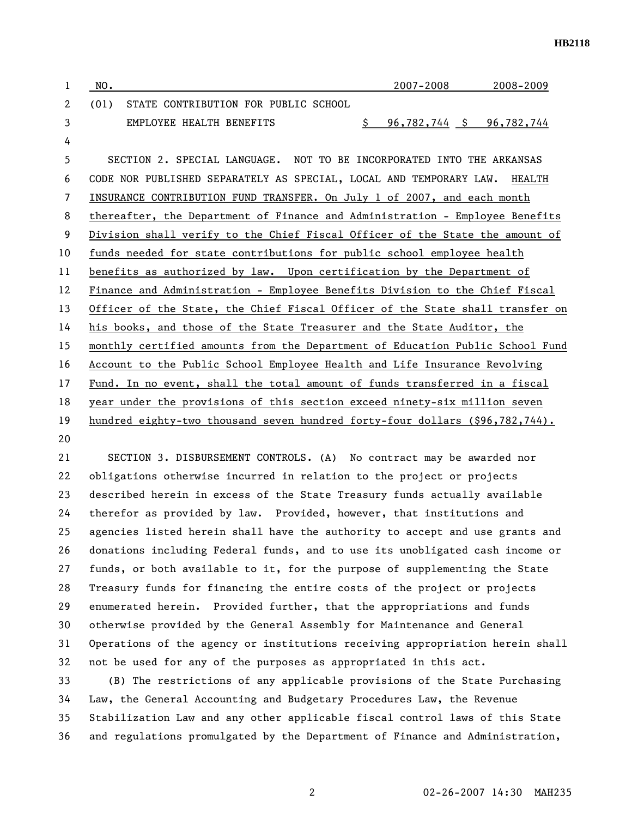| 1  | NO.  |                                                                               | 2007-2008                             | 2008-2009 |
|----|------|-------------------------------------------------------------------------------|---------------------------------------|-----------|
| 2  | (01) | STATE CONTRIBUTION FOR PUBLIC SCHOOL                                          |                                       |           |
| 3  |      | EMPLOYEE HEALTH BENEFITS                                                      | <u>96,782,744 \$ 96,782,744</u><br>S. |           |
| 4  |      |                                                                               |                                       |           |
| 5  |      | SECTION 2. SPECIAL LANGUAGE. NOT TO BE INCORPORATED INTO THE ARKANSAS         |                                       |           |
| 6  |      | CODE NOR PUBLISHED SEPARATELY AS SPECIAL, LOCAL AND TEMPORARY LAW.            |                                       | HEALTH    |
| 7  |      | INSURANCE CONTRIBUTION FUND TRANSFER. On July 1 of 2007, and each month       |                                       |           |
| 8  |      | thereafter, the Department of Finance and Administration - Employee Benefits  |                                       |           |
| 9  |      | Division shall verify to the Chief Fiscal Officer of the State the amount of  |                                       |           |
| 10 |      | funds needed for state contributions for public school employee health        |                                       |           |
| 11 |      | benefits as authorized by law. Upon certification by the Department of        |                                       |           |
| 12 |      | Finance and Administration - Employee Benefits Division to the Chief Fiscal   |                                       |           |
| 13 |      | Officer of the State, the Chief Fiscal Officer of the State shall transfer on |                                       |           |
| 14 |      | his books, and those of the State Treasurer and the State Auditor, the        |                                       |           |
| 15 |      | monthly certified amounts from the Department of Education Public School Fund |                                       |           |
| 16 |      | Account to the Public School Employee Health and Life Insurance Revolving     |                                       |           |
| 17 |      | Fund. In no event, shall the total amount of funds transferred in a fiscal    |                                       |           |
| 18 |      | year under the provisions of this section exceed ninety-six million seven     |                                       |           |
| 19 |      | hundred eighty-two thousand seven hundred forty-four dollars (\$96,782,744).  |                                       |           |
| 20 |      |                                                                               |                                       |           |

21 SECTION 3. DISBURSEMENT CONTROLS. (A) No contract may be awarded nor 22 obligations otherwise incurred in relation to the project or projects 23 described herein in excess of the State Treasury funds actually available 24 therefor as provided by law. Provided, however, that institutions and 25 agencies listed herein shall have the authority to accept and use grants and 26 donations including Federal funds, and to use its unobligated cash income or 27 funds, or both available to it, for the purpose of supplementing the State 28 Treasury funds for financing the entire costs of the project or projects 29 enumerated herein. Provided further, that the appropriations and funds 30 otherwise provided by the General Assembly for Maintenance and General 31 Operations of the agency or institutions receiving appropriation herein shall 32 not be used for any of the purposes as appropriated in this act.

33 (B) The restrictions of any applicable provisions of the State Purchasing 34 Law, the General Accounting and Budgetary Procedures Law, the Revenue 35 Stabilization Law and any other applicable fiscal control laws of this State 36 and regulations promulgated by the Department of Finance and Administration,